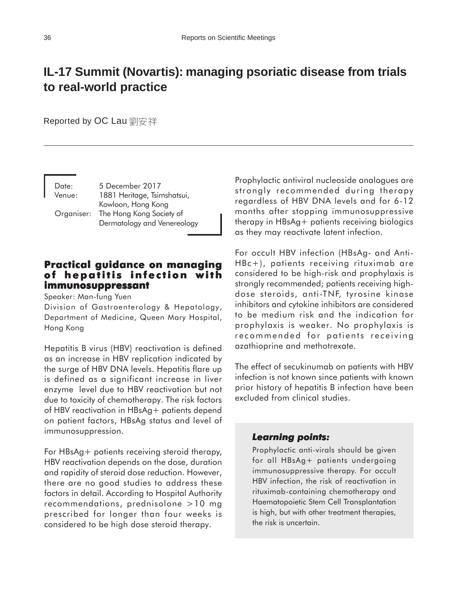# **IL-17 Summit (Novartis): managing psoriatic disease from trials to real-world practice**

Reported by OC Lau 劉安祥

Date: 5 December 2017 Venue: 1881 Heritage, Tsimshatsui, Kowloon, Hong Kong Organiser: The Hong Kong Society of Dermatology and Venereology

#### **Practical guidance on managing of hepatitis infection with immunosuppressant immunosuppressant**

Speaker: Man-fung Yuen

Division of Gastroenterology & Hepatology, Department of Medicine, Queen Mary Hospital, Hong Kong

Hepatitis B virus (HBV) reactivation is defined as an increase in HBV replication indicated by the surge of HBV DNA levels. Hepatitis flare up is defined as a significant increase in liver enzyme level due to HBV reactivation but not due to toxicity of chemotherapy. The risk factors of HBV reactivation in HBsAg+ patients depend on patient factors, HBsAg status and level of immunosuppression.

For HBsAg+ patients receiving steroid therapy, HBV reactivation depends on the dose, duration and rapidity of steroid dose reduction. However, there are no good studies to address these factors in detail. According to Hospital Authority recommendations, prednisolone >10 mg prescribed for longer than four weeks is considered to be high dose steroid therapy.

Prophylactic antiviral nucleoside analogues are strongly recommended during therapy regardless of HBV DNA levels and for 6-12 months after stopping immunosuppressive therapy in HBsAg+ patients receiving biologics as they may reactivate latent infection.

For occult HBV infection (HBsAg- and Anti-HBc+), patients receiving rituximab are considered to be high-risk and prophylaxis is strongly recommended; patients receiving highdose steroids, anti-TNF, tyrosine kinase inhibitors and cytokine inhibitors are considered to be medium risk and the indication for prophylaxis is weaker. No prophylaxis is recommended for patients receiving azathioprine and methotrexate.

The effect of secukinumab on patients with HBV infection is not known since patients with known prior history of hepatitis B infection have been excluded from clinical studies.

### *Learning points: Learning*

Prophylactic anti-virals should be given for all HBsAg+ patients undergoing immunosuppressive therapy. For occult HBV infection, the risk of reactivation in rituximab-containing chemotherapy and Haematopoietic Stem Cell Transplantation is high, but with other treatment therapies, the risk is uncertain.